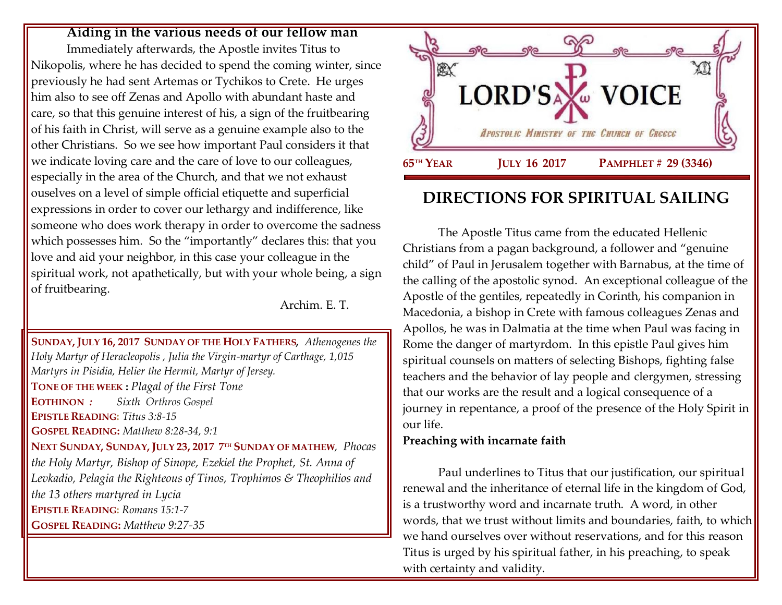#### **Aiding in the various needs of our fellow man**

Immediately afterwards, the Apostle invites Titus to Nikopolis, where he has decided to spend the coming winter, since previously he had sent Artemas or Tychikos to Crete. He urges him also to see off Zenas and Apollo with abundant haste and care, so that this genuine interest of his, a sign of the fruitbearing of his faith in Christ, will serve as a genuine example also to the other Christians. So we see how important Paul considers it that we indicate loving care and the care of love to our colleagues, especially in the area of the Church, and that we not exhaust ouselves on a level of simple official etiquette and superficial expressions in order to cover our lethargy and indifference, like someone who does work therapy in order to overcome the sadness which possesses him. So the "importantly" declares this: that you love and aid your neighbor, in this case your colleague in the spiritual work, not apathetically, but with your whole being, a sign of fruitbearing.

Archim. E. T.

**SUNDAY, JULY 16, 2017 SUNDAY OF THE HOLY FATHERS***, [Athenogenes the](https://www.goarch.org/chapel/saints?contentid=130)  [Holy Martyr of Heracleopolis](https://www.goarch.org/chapel/saints?contentid=130) , Julia the Virgin-martyr of Carthage, 1,015 Martyrs in Pisidia, Helier the Hermit, Martyr of Jersey.* **TONE OF THE WEEK :** *Plagal of the First Tone* **EOTHINON** *: Sixth Orthros Gospel* **EPISTLE READING:** *[Titus 3:8-15](https://www.goarch.org/chapel/lectionary?type=epistle&code=27&event=940&date=5/28/2017)* **GOSPEL READING:** *Matthew [8:28-34, 9:1](https://www.goarch.org/chapel/lectionary?type=gospel&code=43&event=940&date=5/28/2017)* **NEXT SUNDAY, SUNDAY, JULY 23, 2017 7 TH SUNDAY OF MATHEW***, [Phocas](https://www.goarch.org/chapel/saints?contentid=137)  [the Holy Martyr, Bishop of Sinope,](https://www.goarch.org/chapel/saints?contentid=137) [Ezekiel the Prophet,](https://www.goarch.org/chapel/saints?contentid=138) St. Anna of Levkadio, [Pelagia the Righteous of Tinos,](https://www.goarch.org/chapel/saints?contentid=566) Trophimos & Theophilios and the 13 others martyred in Lycia* **EPISTLE READING:** *[Romans 15:1-7](https://www.goarch.org/chapel/lectionary?type=epistle&code=27&event=940&date=5/28/2017)* **GOSPEL READING:** *[Matthew](https://www.goarch.org/chapel/lectionary?type=gospel&code=43&event=940&date=5/28/2017) 9:27-35*



# **DIRECTIONS FOR SPIRITUAL SAILING**

The Apostle Titus came from the educated Hellenic Christians from a pagan background, a follower and "genuine child" of Paul in Jerusalem together with Barnabus, at the time of the calling of the apostolic synod. An exceptional colleague of the Apostle of the gentiles, repeatedly in Corinth, his companion in Macedonia, a bishop in Crete with famous colleagues Zenas and Apollos, he was in Dalmatia at the time when Paul was facing in Rome the danger of martyrdom. In this epistle Paul gives him spiritual counsels on matters of selecting Bishops, fighting false teachers and the behavior of lay people and clergymen, stressing that our works are the result and a logical consequence of a journey in repentance, a proof of the presence of the Holy Spirit in our life.

## **Preaching with incarnate faith**

Paul underlines to Titus that our justification, our spiritual renewal and the inheritance of eternal life in the kingdom of God, is a trustworthy word and incarnate truth. A word, in other words, that we trust without limits and boundaries, faith, to which we hand ourselves over without reservations, and for this reason Titus is urged by his spiritual father, in his preaching, to speak with certainty and validity.